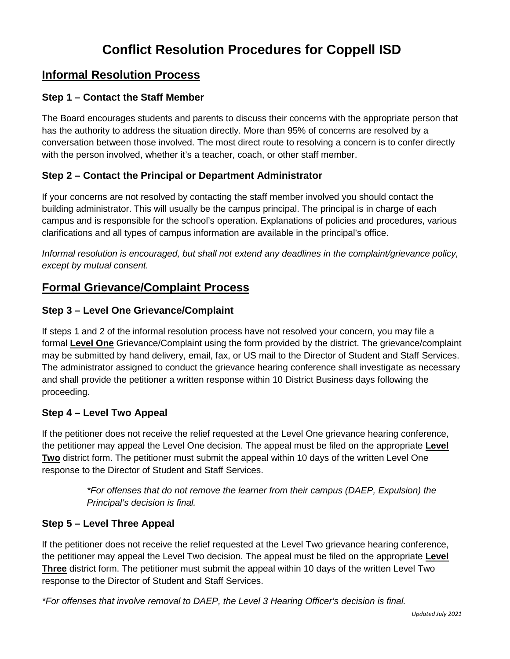# **Conflict Resolution Procedures for Coppell ISD**

## **Informal Resolution Process**

### **Step 1 – Contact the Staff Member**

The Board encourages students and parents to discuss their concerns with the appropriate person that has the authority to address the situation directly. More than 95% of concerns are resolved by a conversation between those involved. The most direct route to resolving a concern is to confer directly with the person involved, whether it's a teacher, coach, or other staff member.

### **Step 2 – Contact the Principal or Department Administrator**

If your concerns are not resolved by contacting the staff member involved you should contact the building administrator. This will usually be the campus principal. The principal is in charge of each campus and is responsible for the school's operation. Explanations of policies and procedures, various clarifications and all types of campus information are available in the principal's office.

*Informal resolution is encouraged, but shall not extend any deadlines in the complaint/grievance policy, except by mutual consent.* 

### **Formal Grievance/Complaint Process**

### **Step 3 – Level One Grievance/Complaint**

If steps 1 and 2 of the informal resolution process have not resolved your concern, you may file a formal **Level One** Grievance/Complaint using the form provided by the district. The grievance/complaint may be submitted by hand delivery, email, fax, or US mail to the Director of Student and Staff Services. The administrator assigned to conduct the grievance hearing conference shall investigate as necessary and shall provide the petitioner a written response within 10 District Business days following the proceeding.

### **Step 4 – Level Two Appeal**

If the petitioner does not receive the relief requested at the Level One grievance hearing conference, the petitioner may appeal the Level One decision. The appeal must be filed on the appropriate **Level Two** district form. The petitioner must submit the appeal within 10 days of the written Level One response to the Director of Student and Staff Services.

> *\*For offenses that do not remove the learner from their campus (DAEP, Expulsion) the Principal's decision is final.*

### **Step 5 – Level Three Appeal**

If the petitioner does not receive the relief requested at the Level Two grievance hearing conference, the petitioner may appeal the Level Two decision. The appeal must be filed on the appropriate **Level Three** district form. The petitioner must submit the appeal within 10 days of the written Level Two response to the Director of Student and Staff Services.

*\*For offenses that involve removal to DAEP, the Level 3 Hearing Officer's decision is final.*